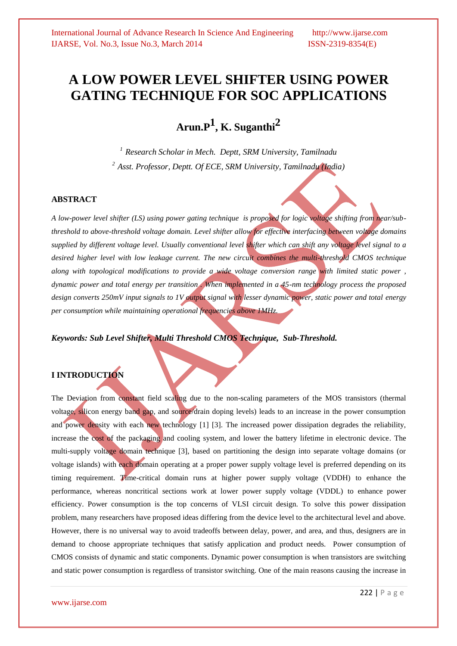# **A LOW POWER LEVEL SHIFTER USING POWER GATING TECHNIQUE FOR SOC APPLICATIONS**

**Arun.P1 , K. Suganthi2**

*<sup>1</sup> Research Scholar in Mech. Deptt, SRM University, Tamilnadu <sup>2</sup>Asst. Professor, Deptt. Of ECE, SRM University, Tamilnadu (India)*

### **ABSTRACT**

*A low-power level shifter (LS) using power gating technique is proposed for logic voltage shifting from near/subthreshold to above-threshold voltage domain. Level shifter allow for effective interfacing between voltage domains supplied by different voltage level. Usually conventional level shifter which can shift any voltage level signal to a desired higher level with low leakage current. The new circuit combines the multi-threshold CMOS technique along with topological modifications to provide a wide voltage conversion range with limited static power , dynamic power and total energy per transition . When implemented in a 45-nm technology process the proposed design converts 250mV input signals to 1V output signal with lesser dynamic power, static power and total energy per consumption while maintaining operational frequencies above 1MHz.*

*Keywords: Sub Level Shifter, Multi Threshold CMOS Technique, Sub-Threshold.*

# **I INTRODUCTION**

The Deviation from constant field scaling due to the non-scaling parameters of the MOS transistors (thermal voltage, silicon energy band gap, and source/drain doping levels) leads to an increase in the power consumption and power density with each new technology [1] [3]. The increased power dissipation degrades the reliability, increase the cost of the packaging and cooling system, and lower the battery lifetime in electronic device. The multi-supply voltage domain technique [3], based on partitioning the design into separate voltage domains (or voltage islands) with each domain operating at a proper power supply voltage level is preferred depending on its timing requirement. Time-critical domain runs at higher power supply voltage (VDDH) to enhance the performance, whereas noncritical sections work at lower power supply voltage (VDDL) to enhance power efficiency. Power consumption is the top concerns of VLSI circuit design. To solve this power dissipation problem, many researchers have proposed ideas differing from the device level to the architectural level and above. However, there is no universal way to avoid tradeoffs between delay, power, and area, and thus, designers are in demand to choose appropriate techniques that satisfy application and product needs. Power consumption of CMOS consists of dynamic and static components. Dynamic power consumption is when transistors are switching and static power consumption is regardless of transistor switching. One of the main reasons causing the increase in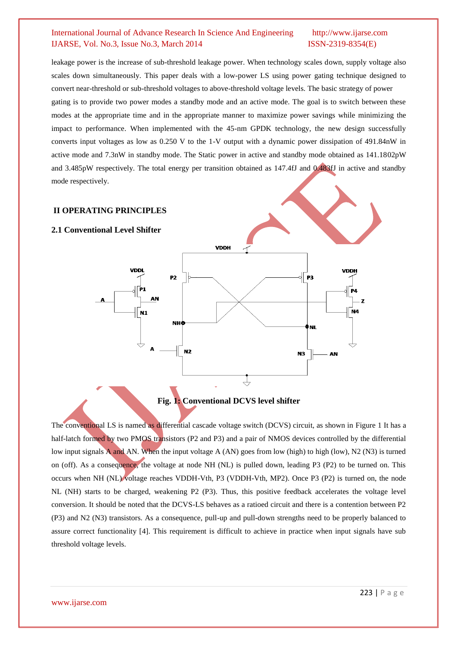leakage power is the increase of sub-threshold leakage power. When technology scales down, supply voltage also scales down simultaneously. This paper deals with a low-power LS using power gating technique designed to convert near-threshold or sub-threshold voltages to above-threshold voltage levels. The basic strategy of power gating is to provide two power modes a standby mode and an active mode. The goal is to switch between these modes at the appropriate time and in the appropriate manner to maximize power savings while minimizing the impact to performance. When implemented with the 45-nm GPDK technology, the new design successfully converts input voltages as low as 0.250 V to the 1-V output with a dynamic power dissipation of 491.84nW in active mode and 7.3nW in standby mode. The Static power in active and standby mode obtained as 141.1802pW and 3.485pW respectively. The total energy per transition obtained as 147.4fJ and 0.483fJ in active and standby mode respectively.

### **II OPERATING PRINCIPLES**

# **2.1 Conventional Level Shifter VDDH** VDDI VDDH P3 P<sub>2</sub> P1 P4  $N1$ N4 **NH** ) NI  $N<sub>2</sub>$ **N3** AN ₹

# **Fig. 1: Conventional DCVS level shifter**

The conventional LS is named as differential cascade voltage switch (DCVS) circuit, as shown in Figure 1 It has a half-latch formed by two PMOS transistors (P2 and P3) and a pair of NMOS devices controlled by the differential low input signals A and AN. When the input voltage A (AN) goes from low (high) to high (low), N2 (N3) is turned on (off). As a consequence, the voltage at node NH (NL) is pulled down, leading P3 (P2) to be turned on. This occurs when NH (NL) voltage reaches VDDH-Vth*,* P3 (VDDH-Vth*,* MP2). Once P3 (P2) is turned on, the node NL (NH) starts to be charged, weakening P2 (P3). Thus, this positive feedback accelerates the voltage level conversion. It should be noted that the DCVS-LS behaves as a ratioed circuit and there is a contention between P2 (P3) and N2 (N3) transistors. As a consequence, pull-up and pull-down strengths need to be properly balanced to assure correct functionality [4]. This requirement is difficult to achieve in practice when input signals have sub threshold voltage levels.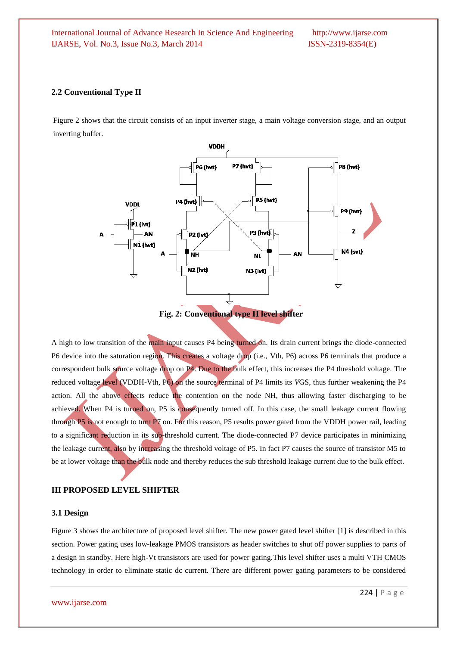#### **2.2 Conventional Type II**

Figure 2 shows that the circuit consists of an input inverter stage, a main voltage conversion stage, and an output inverting buffer.



A high to low transition of the main input causes P4 being turned on. Its drain current brings the diode-connected P6 device into the saturation region. This creates a voltage drop (i.e., Vth*,* P6) across P6 terminals that produce a correspondent bulk source voltage drop on P4. Due to the bulk effect, this increases the P4 threshold voltage. The reduced voltage level (VDDH-Vth*,* P6) on the source terminal of P4 limits its *V*GS, thus further weakening the P4 action. All the above effects reduce the contention on the node NH, thus allowing faster discharging to be achieved. When P4 is turned on, P5 is consequently turned off. In this case, the small leakage current flowing through P5 is not enough to turn P7 on. For this reason, P5 results power gated from the VDDH power rail, leading to a significant reduction in its sub-threshold current. The diode-connected P7 device participates in minimizing the leakage current, also by increasing the threshold voltage of P5. In fact P7 causes the source of transistor M5 to be at lower voltage than the bulk node and thereby reduces the sub threshold leakage current due to the bulk effect.

#### **III PROPOSED LEVEL SHIFTER**

#### **3.1 Design**

Figure 3 shows the architecture of proposed level shifter. The new power gated level shifter [1] is described in this section. Power gating uses low-leakage PMOS transistors as header switches to shut off power supplies to parts of a design in standby. Here high-Vt transistors are used for power gating.This level shifter uses a multi VTH CMOS technology in order to eliminate static dc current. There are different power gating parameters to be considered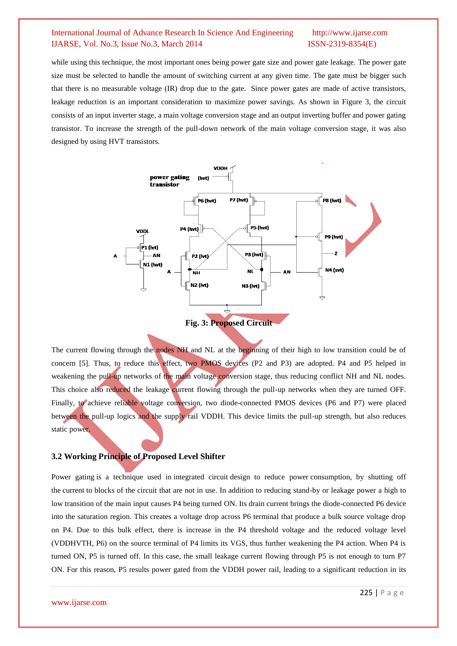while using this technique, the most important ones being power gate size and power gate leakage. The power gate size must be selected to handle the amount of switching current at any given time. The gate must be bigger such that there is no measurable voltage (IR) drop due to the gate. Since power gates are made of active transistors, leakage reduction is an important consideration to maximize power savings. As shown in Figure 3, the circuit consists of an input inverter stage, a main voltage conversion stage and an output inverting buffer and power gating transistor. To increase the strength of the pull-down network of the main voltage conversion stage, it was also designed by using HVT transistors.



The current flowing through the nodes NH and NL at the beginning of their high to low transition could be of concern [5]. Thus, to reduce this effect, two PMOS devices (P2 and P3) are adopted. P4 and P5 helped in weakening the pull-up networks of the main voltage conversion stage, thus reducing conflict NH and NL nodes. This choice also reduced the leakage current flowing through the pull-up networks when they are turned OFF. Finally, to achieve reliable voltage conversion, two diode-connected PMOS devices (P6 and P7) were placed between the pull-up logics and the supply rail VDDH. This device limits the pull-up strength, but also reduces static power.

#### **3.2 Working Principle of Proposed Level Shifter**

Power gating is a technique used in integrated circuit design to reduce power consumption, by shutting off the current to blocks of the circuit that are not in use. In addition to reducing stand-by or leakage power a high to low transition of the main input causes P4 being turned ON. Its drain current brings the diode-connected P6 device into the saturation region. This creates a voltage drop across P6 terminal that produce a bulk source voltage drop on P4. Due to this bulk effect, there is increase in the P4 threshold voltage and the reduced voltage level (VDDHVTH, P6) on the source terminal of P4 limits its VGS, thus further weakening the P4 action. When P4 is turned ON, P5 is turned off. In this case, the small leakage current flowing through P5 is not enough to turn P7 ON. For this reason, P5 results power gated from the VDDH power rail, leading to a significant reduction in its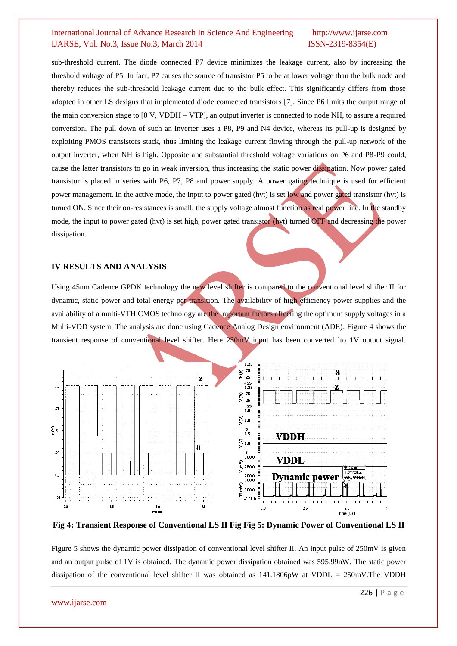sub-threshold current. The diode connected P7 device minimizes the leakage current, also by increasing the threshold voltage of P5. In fact, P7 causes the source of transistor P5 to be at lower voltage than the bulk node and thereby reduces the sub-threshold leakage current due to the bulk effect. This significantly differs from those adopted in other LS designs that implemented diode connected transistors [7]. Since P6 limits the output range of the main conversion stage to [0 V, VDDH – VTP], an output inverter is connected to node NH, to assure a required conversion. The pull down of such an inverter uses a P8, P9 and N4 device, whereas its pull-up is designed by exploiting PMOS transistors stack, thus limiting the leakage current flowing through the pull-up network of the output inverter, when NH is high. Opposite and substantial threshold voltage variations on P6 and P8-P9 could, cause the latter transistors to go in weak inversion, thus increasing the static power dissipation. Now power gated transistor is placed in series with P6, P7, P8 and power supply. A power gating technique is used for efficient power management. In the active mode, the input to power gated (hvt) is set low and power gated transistor (hvt) is turned ON. Since their on-resistances is small, the supply voltage almost function as real power line. In the standby mode, the input to power gated (hvt) is set high, power gated transistor (hvt) turned OFF and decreasing the power dissipation.

# **IV RESULTS AND ANALYSIS**

Using 45nm Cadence GPDK technology the new level shifter is compared to the conventional level shifter II for dynamic, static power and total energy per transition. The availability of high efficiency power supplies and the availability of a multi-VTH CMOS technology are the important factors affecting the optimum supply voltages in a Multi-VDD system. The analysis are done using Cadence Analog Design environment (ADE). Figure 4 shows the transient response of conventional level shifter. Here 250mV input has been converted 'to 1V output signal.



**Fig 4: Transient Response of Conventional LS II Fig Fig 5: Dynamic Power of Conventional LS II**

Figure 5 shows the dynamic power dissipation of conventional level shifter II. An input pulse of 250mV is given and an output pulse of 1V is obtained. The dynamic power dissipation obtained was 595.99nW. The static power dissipation of the conventional level shifter II was obtained as 141.1806pW at VDDL = 250mV.The VDDH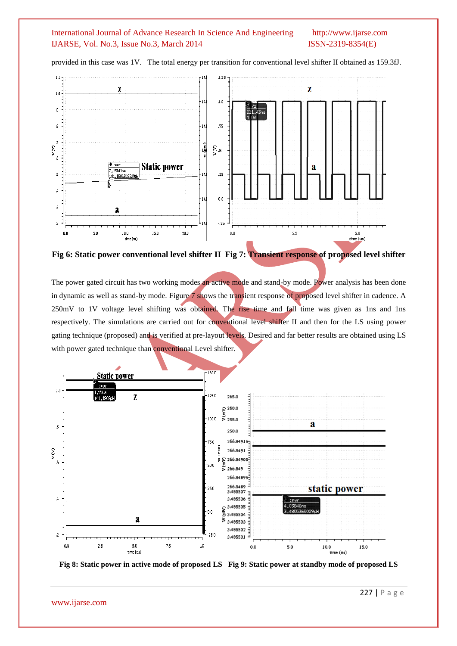

provided in this case was 1V. The total energy per transition for conventional level shifter II obtained as 159.3fJ.

**Fig 6: Static power conventional level shifter II Fig 7: Transient response of proposed level shifter**

The power gated circuit has two working modes an active mode and stand-by mode. Power analysis has been done in dynamic as well as stand-by mode. Figure 7 shows the transient response of proposed level shifter in cadence. A 250mV to 1V voltage level shifting was obtained. The rise time and fall time was given as 1ns and 1ns respectively. The simulations are carried out for conventional level shifter II and then for the LS using power gating technique (proposed) and is verified at pre-layout levels. Desired and far better results are obtained using LS with power gated technique than conventional Level shifter.



**Fig 8: Static power in active mode of proposed LS Fig 9: Static power at standby mode of proposed LS**

www.ijarse.com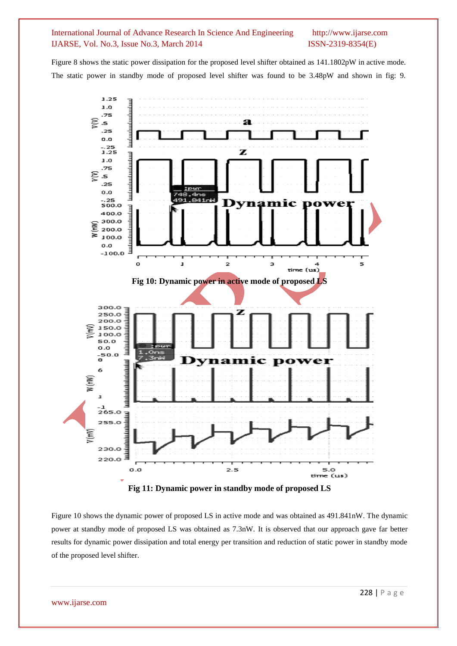Figure 8 shows the static power dissipation for the proposed level shifter obtained as 141.1802pW in active mode. The static power in standby mode of proposed level shifter was found to be 3.48pW and shown in fig: 9.



Figure 10 shows the dynamic power of proposed LS in active mode and was obtained as 491.841nW. The dynamic power at standby mode of proposed LS was obtained as 7.3nW. It is observed that our approach gave far better results for dynamic power dissipation and total energy per transition and reduction of static power in standby mode of the proposed level shifter.

www.ijarse.com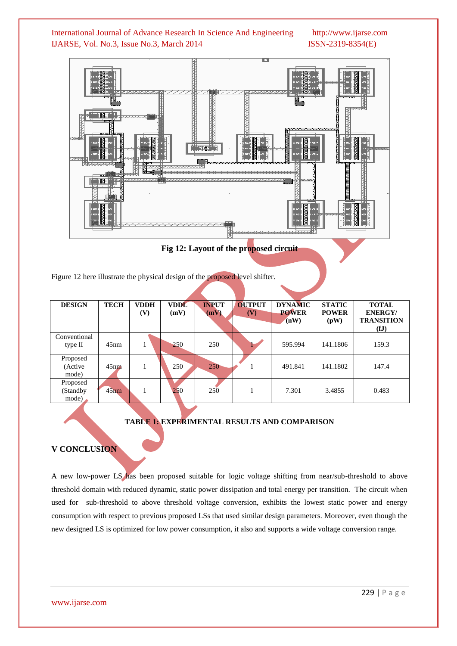



**Fig 12: Layout of the proposed circuit**

Figure 12 here illustrate the physical design of the proposed level shifter.

| <b>DESIGN</b>                 | <b>TECH</b>      | <b>VDDH</b><br>(V) | <b>VDDL</b><br>(mV) | <b>INPUT</b><br>(mV) | <b>OUTPUT</b><br>(V) | <b>DYNAMIC</b><br><b>POWER</b><br>(nW) | <b>STATIC</b><br><b>POWER</b><br>(pW) | <b>TOTAL</b><br><b>ENERGY/</b><br><b>TRANSITION</b> |
|-------------------------------|------------------|--------------------|---------------------|----------------------|----------------------|----------------------------------------|---------------------------------------|-----------------------------------------------------|
| Conventional<br>type II       | 45nm             |                    | 250                 | 250                  |                      | 595.994                                | 141.1806                              | (fJ)<br>159.3                                       |
| Proposed<br>(Active)<br>mode) | 45 <sub>nm</sub> |                    | 250                 | 250                  |                      | 491.841                                | 141.1802                              | 147.4                                               |
| Proposed<br>(Standby<br>mode) | $45$ nm          |                    | 250                 | 250                  |                      | 7.301                                  | 3.4855                                | 0.483                                               |

# **TABLE 1: EXPERIMENTAL RESULTS AND COMPARISON**

# **V CONCLUSION**

A new low-power LS has been proposed suitable for logic voltage shifting from near/sub-threshold to above threshold domain with reduced dynamic, static power dissipation and total energy per transition. The circuit when used for sub-threshold to above threshold voltage conversion, exhibits the lowest static power and energy consumption with respect to previous proposed LSs that used similar design parameters. Moreover, even though the new designed LS is optimized for low power consumption, it also and supports a wide voltage conversion range.